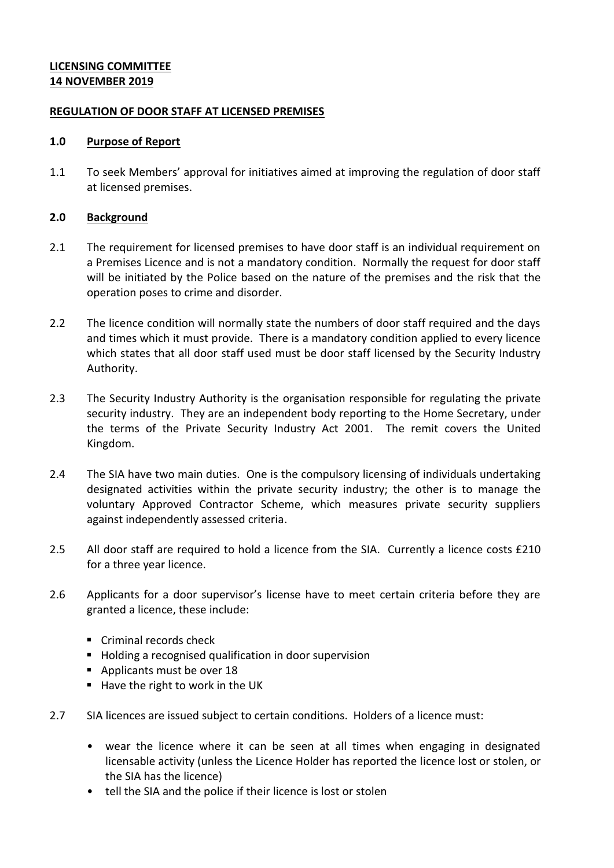### **LICENSING COMMITTEE 14 NOVEMBER 2019**

### **REGULATION OF DOOR STAFF AT LICENSED PREMISES**

### **1.0 Purpose of Report**

1.1 To seek Members' approval for initiatives aimed at improving the regulation of door staff at licensed premises.

## **2.0 Background**

- 2.1 The requirement for licensed premises to have door staff is an individual requirement on a Premises Licence and is not a mandatory condition. Normally the request for door staff will be initiated by the Police based on the nature of the premises and the risk that the operation poses to crime and disorder.
- 2.2 The licence condition will normally state the numbers of door staff required and the days and times which it must provide. There is a mandatory condition applied to every licence which states that all door staff used must be door staff licensed by the Security Industry Authority.
- 2.3 The Security Industry Authority is the organisation responsible for regulating the private security industry. They are an independent body reporting to the Home Secretary, under the terms of the Private Security Industry Act 2001. The remit covers the United Kingdom.
- 2.4 The SIA have two main duties. One is the compulsory licensing of individuals undertaking designated activities within the private security industry; the other is to manage the voluntary Approved Contractor Scheme, which measures private security suppliers against independently assessed criteria.
- 2.5 All door staff are required to hold a licence from the SIA. Currently a licence costs £210 for a three year licence.
- 2.6 Applicants for a door supervisor's license have to meet certain criteria before they are granted a licence, these include:
	- Criminal records check
	- **Holding a recognised qualification in door supervision**
	- Applicants must be over 18
	- $\blacksquare$  Have the right to work in the UK
- 2.7 SIA licences are issued subject to certain conditions. Holders of a licence must:
	- wear the licence where it can be seen at all times when engaging in designated licensable activity (unless the Licence Holder has reported the licence lost or stolen, or the SIA has the licence)
	- tell the SIA and the police if their licence is lost or stolen